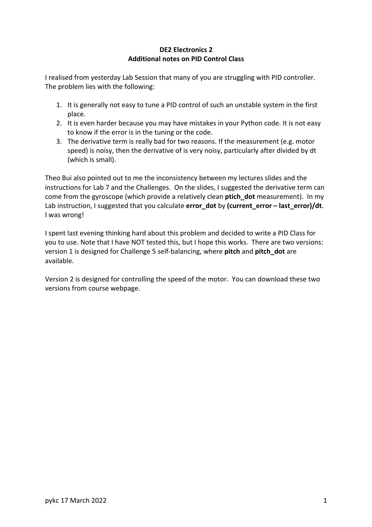## **DE2 Electronics 2 Additional notes on PID Control Class**

I realised from yesterday Lab Session that many of you are struggling with PID controller. The problem lies with the following:

- 1. It is generally not easy to tune a PID control of such an unstable system in the first place.
- 2. It is even harder because you may have mistakes in your Python code. It is not easy to know if the error is in the tuning or the code.
- 3. The derivative term is really bad for two reasons. If the measurement (e.g. motor speed) is noisy, then the derivative of is very noisy, particularly after divided by dt (which is small).

Theo Bui also pointed out to me the inconsistency between my lectures slides and the instructions for Lab 7 and the Challenges. On the slides, I suggested the derivative term can come from the gyroscope (which provide a relatively clean **ptich\_dot** measurement). In my Lab instruction, I suggested that you calculate **error\_dot** by **(current\_error – last\_error)/dt**. I was wrong!

I spent last evening thinking hard about this problem and decided to write a PID Class for you to use. Note that I have NOT tested this, but I hope this works. There are two versions: version 1 is designed for Challenge 5 self-balancing, where **pitch** and **pitch\_dot** are available.

Version 2 is designed for controlling the speed of the motor. You can download these two versions from course webpage.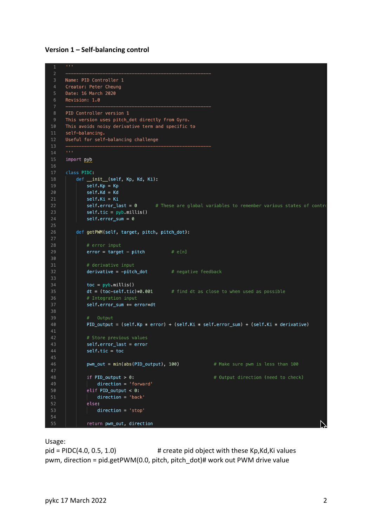## **Version 1 – Self-balancing control**

```
\mathbf{r} and
     Name: PID Controller 1
     Creator: Peter Cheung
     Date: 16 March 2020
     Revision: 1.0
     PID Controller version 1
     This version uses pitch_dot directly from Gyro.
10
     This avoids noisy derivative term and specific to
      self-balancing.
     Useful for self-balancing challenge
12<sup>12</sup>13
14
15import <u>pyb</u>
16
17
     class PIDC:
          def _init_(self, Kp, Kd, Ki):
19
             self.Kp = Kpself.Kd = Kd20
21self.Ki = Ki# These are global variables to remember various states of contro
             self_error\_last = 0self.tic = pyb.millis()24
             self_error\_sum = 025
          def getPWM(self, target, pitch, pitch_dot):
27
             # error inputerror = target - pitch# e[n]2930
31# derivative input
32
             derivative = -pitch_dot# negative feedback
33
             \text{toc} = \text{pyb.millis}()dt = (toc-self.tic)*0.001# Integration input
36
37
             self.error_sum += error*dt
38
39
              # Output
             PID_output = (self.Kp * error) + (self.Ki * self-error_sum) + (self.Ki * derivative)4041
              self_error\_last = errorself.tic = toc44
45
             pwm_out = min(abs(PID_output), 100)
                                                               # Make sure pwm is less than 100
48
              if PID\_output > 0:
                                                               # Output direction (need to check)
                 \text{direction} = \text{ 'forward'}4950
              elif PID\_output < 0:
                 \text{direction} = 'back'52
              else:
                  direction = 'stop'54
              return pwm_out, direction
```
Usage:

 $pid = PIDC(4.0, 0.5, 1.0)$  # create pid object with these Kp, Kd, Ki values pwm, direction = pid.getPWM(0.0, pitch, pitch\_dot)# work out PWM drive value